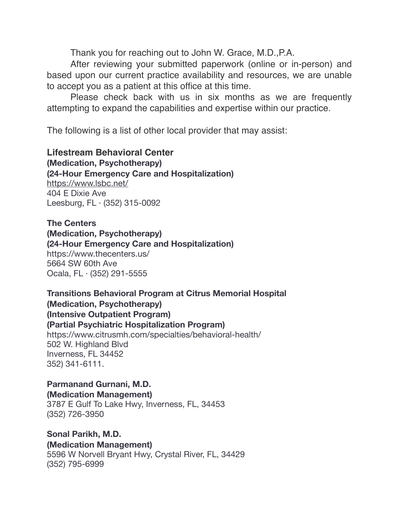Thank you for reaching out to John W. Grace, M.D.,P.A.

After reviewing your submitted paperwork (online or in-person) and based upon our current practice availability and resources, we are unable to accept you as a patient at this office at this time.

Please check back with us in six months as we are frequently attempting to expand the capabilities and expertise within our practice.

The following is a list of other local provider that may assist:

**Lifestream Behavioral Center (Medication, Psychotherapy) (24-Hour Emergency Care and Hospitalization)**  <https://www.lsbc.net/> 404 E Dixie Ave Leesburg, FL · (352) 315-0092

**The Centers (Medication, Psychotherapy) (24-Hour Emergency Care and Hospitalization)**  https://www.thecenters.us/ 5664 SW 60th Ave Ocala, FL · (352) 291-5555

**Transitions Behavioral Program at Citrus Memorial Hospital (Medication, Psychotherapy) (Intensive Outpatient Program) (Partial Psychiatric Hospitalization Program)**  https://www.citrusmh.com/specialties/behavioral-health/

502 W. Highland Blvd Inverness, FL 34452 352) 341-6111.

**Parmanand Gurnani, M.D. (Medication Management)** 

3787 E Gulf To Lake Hwy, Inverness, FL, 34453 (352) 726-3950

**Sonal Parikh, M.D. (Medication Management)** 

5596 W Norvell Bryant Hwy, Crystal River, FL, 34429 (352) 795-6999